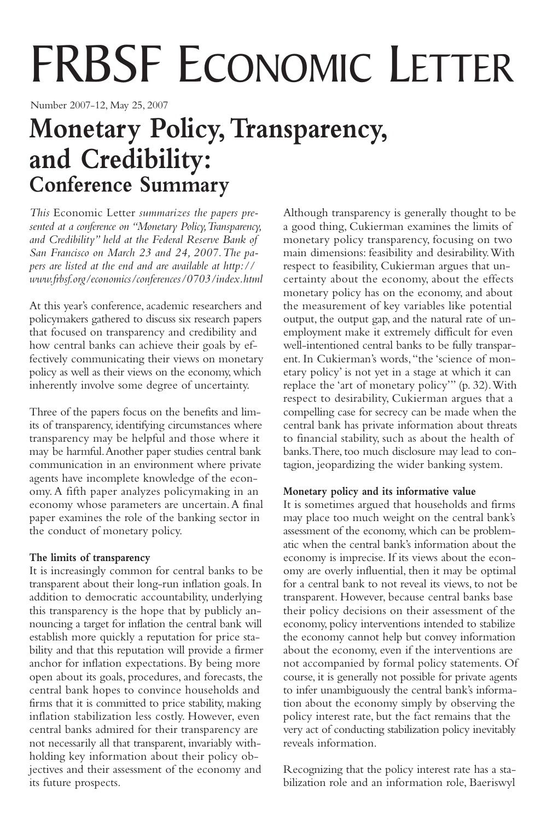# FRBSF ECONOMIC LETTER

Number 2007-12, May 25, 2007

# **Monetary Policy,Transparency, and Credibility: Conference Summary**

*This* Economic Letter *summarizes the papers presented at a conference on "Monetary Policy,Transparency, and Credibility" held at the Federal Reserve Bank of San Francisco on March 23 and 24, 2007.The papers are listed at the end and are available at http:// www.frbsf.org/economics/conferences/0703/index.html*

At this year's conference, academic researchers and policymakers gathered to discuss six research papers that focused on transparency and credibility and how central banks can achieve their goals by effectively communicating their views on monetary policy as well as their views on the economy, which inherently involve some degree of uncertainty.

Three of the papers focus on the benefits and limits of transparency, identifying circumstances where transparency may be helpful and those where it may be harmful.Another paper studies central bank communication in an environment where private agents have incomplete knowledge of the economy. A fifth paper analyzes policymaking in an economy whose parameters are uncertain.A final paper examines the role of the banking sector in the conduct of monetary policy.

# **The limits of transparency**

It is increasingly common for central banks to be transparent about their long-run inflation goals. In addition to democratic accountability, underlying this transparency is the hope that by publicly announcing a target for inflation the central bank will establish more quickly a reputation for price stability and that this reputation will provide a firmer anchor for inflation expectations. By being more open about its goals, procedures, and forecasts, the central bank hopes to convince households and firms that it is committed to price stability, making inflation stabilization less costly. However, even central banks admired for their transparency are not necessarily all that transparent, invariably withholding key information about their policy objectives and their assessment of the economy and its future prospects.

Although transparency is generally thought to be a good thing, Cukierman examines the limits of monetary policy transparency, focusing on two main dimensions: feasibility and desirability.With respect to feasibility, Cukierman argues that uncertainty about the economy, about the effects monetary policy has on the economy, and about the measurement of key variables like potential output, the output gap, and the natural rate of unemployment make it extremely difficult for even well-intentioned central banks to be fully transparent. In Cukierman's words,"the 'science of monetary policy' is not yet in a stage at which it can replace the 'art of monetary policy'" (p. 32).With respect to desirability, Cukierman argues that a compelling case for secrecy can be made when the central bank has private information about threats to financial stability, such as about the health of banks.There, too much disclosure may lead to contagion, jeopardizing the wider banking system.

# **Monetary policy and its informative value**

It is sometimes argued that households and firms may place too much weight on the central bank's assessment of the economy, which can be problematic when the central bank's information about the economy is imprecise. If its views about the economy are overly influential, then it may be optimal for a central bank to not reveal its views, to not be transparent. However, because central banks base their policy decisions on their assessment of the economy, policy interventions intended to stabilize the economy cannot help but convey information about the economy, even if the interventions are not accompanied by formal policy statements. Of course, it is generally not possible for private agents to infer unambiguously the central bank's information about the economy simply by observing the policy interest rate, but the fact remains that the very act of conducting stabilization policy inevitably reveals information.

Recognizing that the policy interest rate has a stabilization role and an information role, Baeriswyl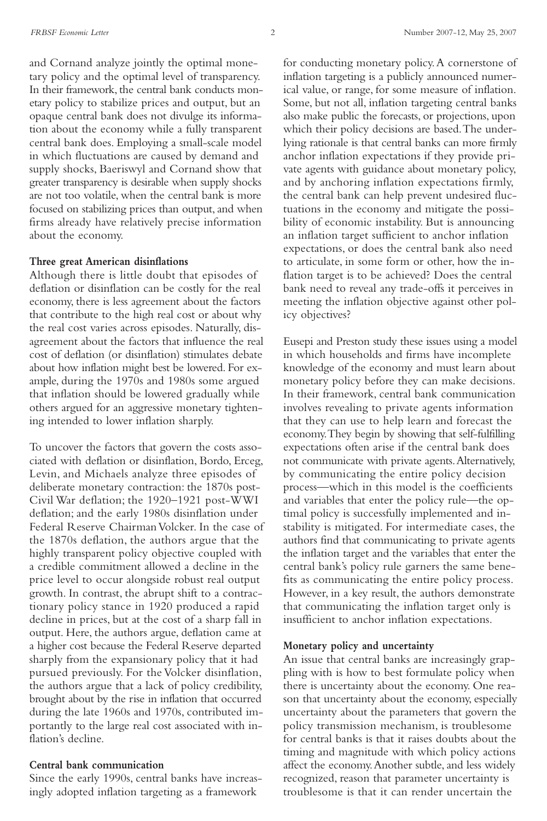and Cornand analyze jointly the optimal monetary policy and the optimal level of transparency. In their framework, the central bank conducts monetary policy to stabilize prices and output, but an opaque central bank does not divulge its information about the economy while a fully transparent central bank does. Employing a small-scale model in which fluctuations are caused by demand and supply shocks, Baeriswyl and Cornand show that greater transparency is desirable when supply shocks are not too volatile, when the central bank is more focused on stabilizing prices than output, and when firms already have relatively precise information about the economy.

#### **Three great American disinflations**

Although there is little doubt that episodes of deflation or disinflation can be costly for the real economy, there is less agreement about the factors that contribute to the high real cost or about why the real cost varies across episodes. Naturally, disagreement about the factors that influence the real cost of deflation (or disinflation) stimulates debate about how inflation might best be lowered. For example, during the 1970s and 1980s some argued that inflation should be lowered gradually while others argued for an aggressive monetary tightening intended to lower inflation sharply.

To uncover the factors that govern the costs associated with deflation or disinflation, Bordo, Erceg, Levin, and Michaels analyze three episodes of deliberate monetary contraction: the 1870s post-Civil War deflation; the 1920–1921 post-WWI deflation; and the early 1980s disinflation under Federal Reserve Chairman Volcker. In the case of the 1870s deflation, the authors argue that the highly transparent policy objective coupled with a credible commitment allowed a decline in the price level to occur alongside robust real output growth. In contrast, the abrupt shift to a contractionary policy stance in 1920 produced a rapid decline in prices, but at the cost of a sharp fall in output. Here, the authors argue, deflation came at a higher cost because the Federal Reserve departed sharply from the expansionary policy that it had pursued previously. For the Volcker disinflation, the authors argue that a lack of policy credibility, brought about by the rise in inflation that occurred during the late 1960s and 1970s, contributed importantly to the large real cost associated with inflation's decline.

#### **Central bank communication**

Since the early 1990s, central banks have increasingly adopted inflation targeting as a framework

for conducting monetary policy.A cornerstone of inflation targeting is a publicly announced numerical value, or range, for some measure of inflation. Some, but not all, inflation targeting central banks also make public the forecasts, or projections, upon which their policy decisions are based.The underlying rationale is that central banks can more firmly anchor inflation expectations if they provide private agents with guidance about monetary policy, and by anchoring inflation expectations firmly, the central bank can help prevent undesired fluctuations in the economy and mitigate the possibility of economic instability. But is announcing an inflation target sufficient to anchor inflation expectations, or does the central bank also need to articulate, in some form or other, how the inflation target is to be achieved? Does the central bank need to reveal any trade-offs it perceives in meeting the inflation objective against other policy objectives?

Eusepi and Preston study these issues using a model in which households and firms have incomplete knowledge of the economy and must learn about monetary policy before they can make decisions. In their framework, central bank communication involves revealing to private agents information that they can use to help learn and forecast the economy.They begin by showing that self-fulfilling expectations often arise if the central bank does not communicate with private agents.Alternatively, by communicating the entire policy decision process—which in this model is the coefficients and variables that enter the policy rule—the optimal policy is successfully implemented and instability is mitigated. For intermediate cases, the authors find that communicating to private agents the inflation target and the variables that enter the central bank's policy rule garners the same benefits as communicating the entire policy process. However, in a key result, the authors demonstrate that communicating the inflation target only is insufficient to anchor inflation expectations.

#### **Monetary policy and uncertainty**

An issue that central banks are increasingly grappling with is how to best formulate policy when there is uncertainty about the economy. One reason that uncertainty about the economy, especially uncertainty about the parameters that govern the policy transmission mechanism, is troublesome for central banks is that it raises doubts about the timing and magnitude with which policy actions affect the economy.Another subtle, and less widely recognized, reason that parameter uncertainty is troublesome is that it can render uncertain the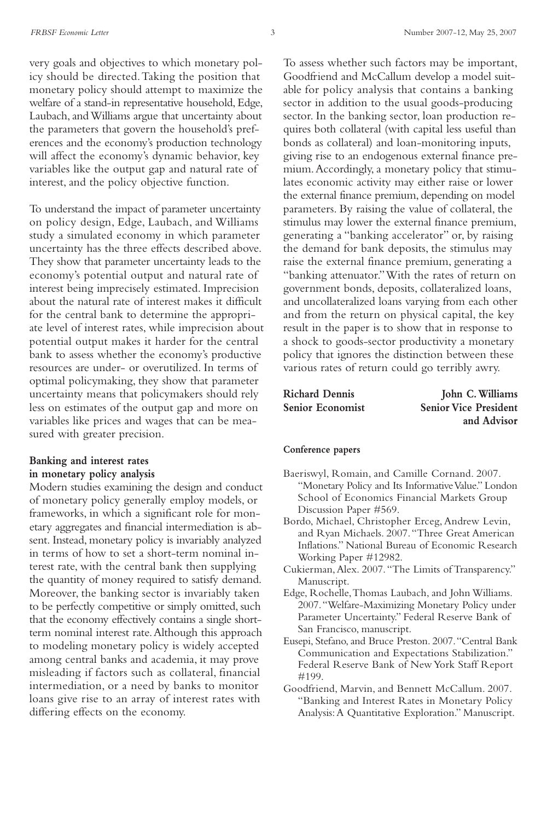very goals and objectives to which monetary policy should be directed.Taking the position that monetary policy should attempt to maximize the welfare of a stand-in representative household, Edge, Laubach, and Williams argue that uncertainty about the parameters that govern the household's preferences and the economy's production technology will affect the economy's dynamic behavior, key variables like the output gap and natural rate of interest, and the policy objective function.

To understand the impact of parameter uncertainty on policy design, Edge, Laubach, and Williams study a simulated economy in which parameter uncertainty has the three effects described above. They show that parameter uncertainty leads to the economy's potential output and natural rate of interest being imprecisely estimated. Imprecision about the natural rate of interest makes it difficult for the central bank to determine the appropriate level of interest rates, while imprecision about potential output makes it harder for the central bank to assess whether the economy's productive resources are under- or overutilized. In terms of optimal policymaking, they show that parameter uncertainty means that policymakers should rely less on estimates of the output gap and more on variables like prices and wages that can be measured with greater precision.

# **Banking and interest rates in monetary policy analysis**

Modern studies examining the design and conduct of monetary policy generally employ models, or frameworks, in which a significant role for monetary aggregates and financial intermediation is absent. Instead, monetary policy is invariably analyzed in terms of how to set a short-term nominal interest rate, with the central bank then supplying the quantity of money required to satisfy demand. Moreover, the banking sector is invariably taken to be perfectly competitive or simply omitted, such that the economy effectively contains a single shortterm nominal interest rate.Although this approach to modeling monetary policy is widely accepted among central banks and academia, it may prove misleading if factors such as collateral, financial intermediation, or a need by banks to monitor loans give rise to an array of interest rates with differing effects on the economy.

To assess whether such factors may be important, Goodfriend and McCallum develop a model suitable for policy analysis that contains a banking sector in addition to the usual goods-producing sector. In the banking sector, loan production requires both collateral (with capital less useful than bonds as collateral) and loan-monitoring inputs, giving rise to an endogenous external finance premium.Accordingly, a monetary policy that stimulates economic activity may either raise or lower the external finance premium, depending on model parameters. By raising the value of collateral, the stimulus may lower the external finance premium, generating a "banking accelerator" or, by raising the demand for bank deposits, the stimulus may raise the external finance premium, generating a "banking attenuator."With the rates of return on government bonds, deposits, collateralized loans, and uncollateralized loans varying from each other and from the return on physical capital, the key result in the paper is to show that in response to a shock to goods-sector productivity a monetary policy that ignores the distinction between these various rates of return could go terribly awry.

| <b>Richard Dennis</b> | John C. Williams             |
|-----------------------|------------------------------|
| Senior Economist      | <b>Senior Vice President</b> |
|                       | and Advisor                  |

#### **Conference papers**

- Baeriswyl, Romain, and Camille Cornand. 2007. "Monetary Policy and Its Informative Value." London School of Economics Financial Markets Group Discussion Paper #569.
- Bordo, Michael, Christopher Erceg, Andrew Levin, and Ryan Michaels. 2007."Three Great American Inflations." National Bureau of Economic Research Working Paper #12982.
- Cukierman,Alex. 2007."The Limits of Transparency." Manuscript.
- Edge, Rochelle,Thomas Laubach, and John Williams. 2007."Welfare-Maximizing Monetary Policy under Parameter Uncertainty." Federal Reserve Bank of San Francisco, manuscript.
- Eusepi, Stefano, and Bruce Preston. 2007."Central Bank Communication and Expectations Stabilization." Federal Reserve Bank of New York Staff Report #199.
- Goodfriend, Marvin, and Bennett McCallum. 2007. "Banking and Interest Rates in Monetary Policy Analysis:A Quantitative Exploration." Manuscript.